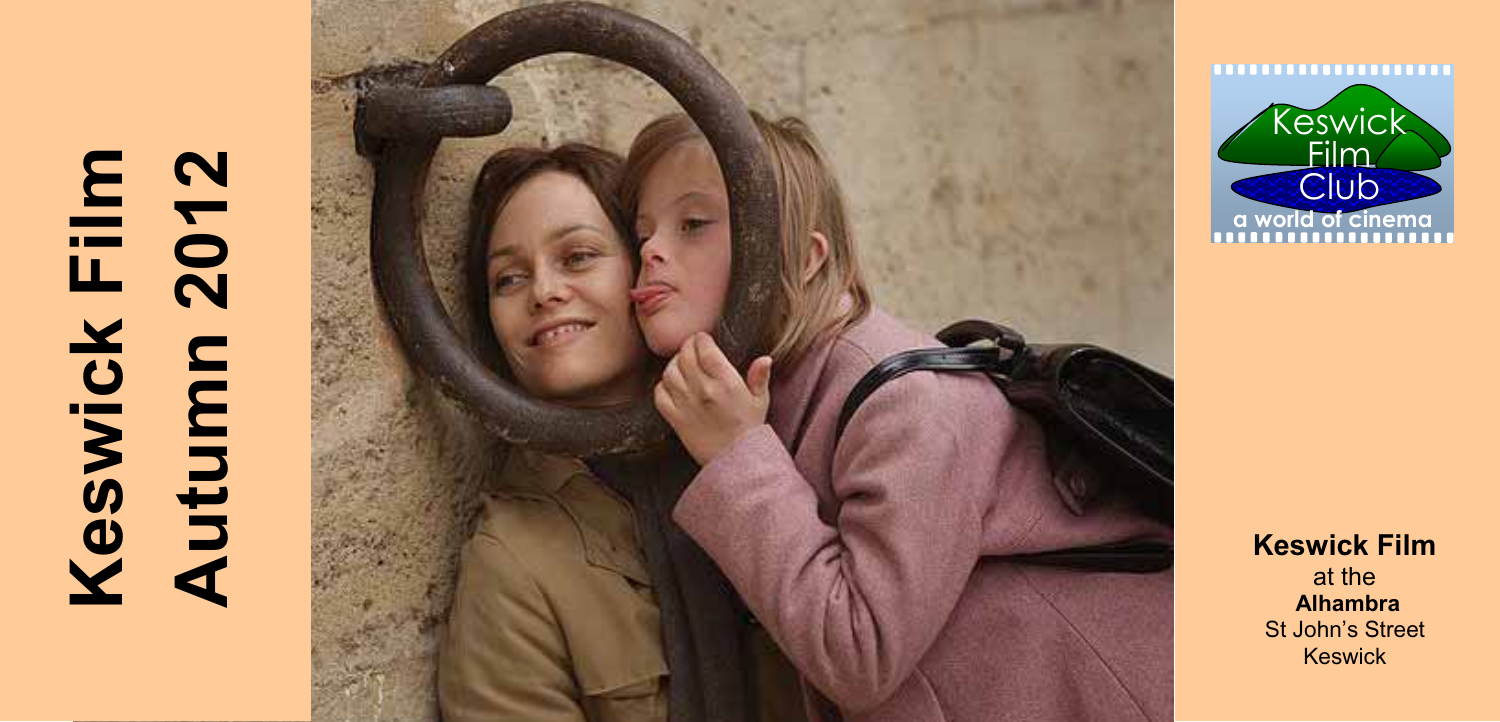# Keswick Film<br>Autumn 2012 **Keswick Film Autumn 2012**





**Keswick Film** 

at the  **Alhambra**  St John's Street Keswick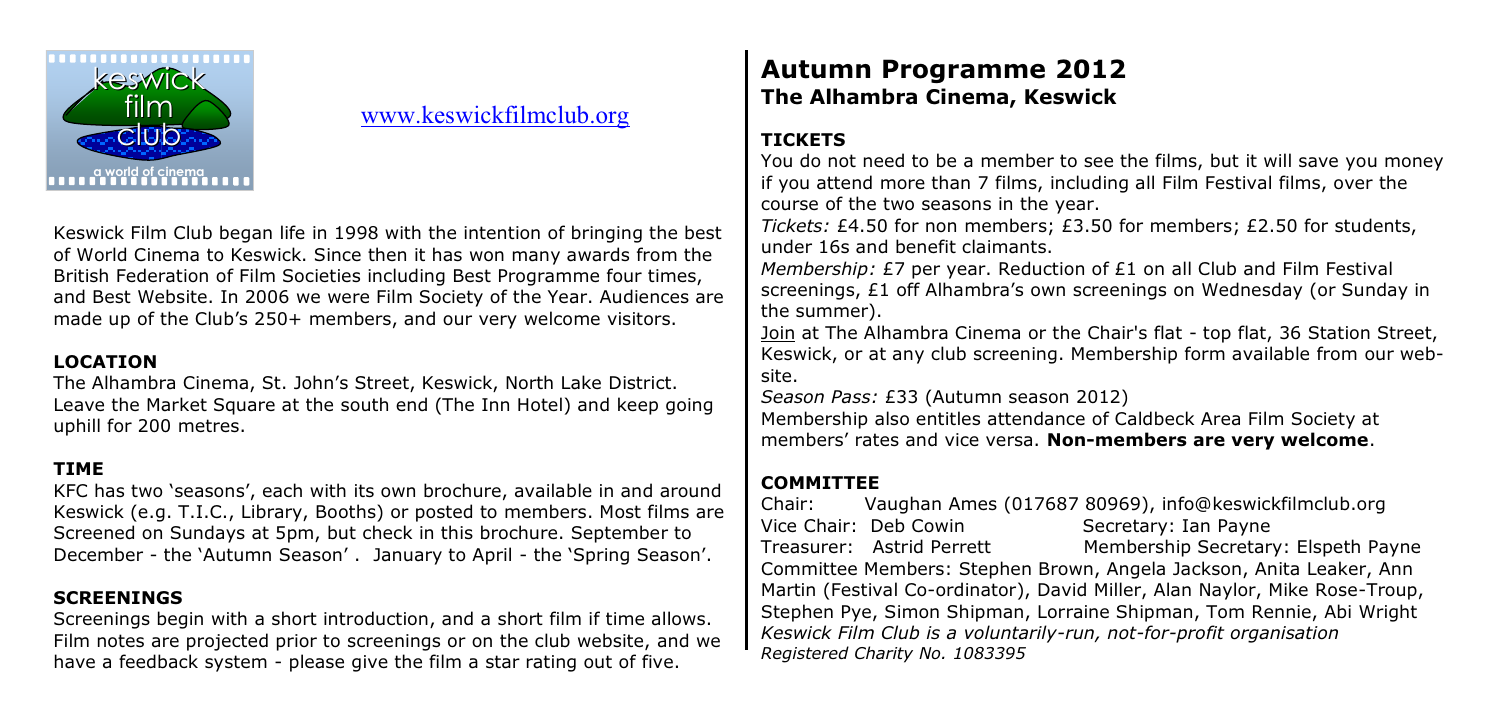

#### www.keswickfilmclub.org ww.keswickfilmclub.org

Keswick Film Club began life in 1998 with the intention of bringing the best of World Cinema to Keswick. Since then it has won many awards from the British Federation of Film Societies including Best Programme four times, and Best Website. In 2006 we were Film Society of the Year. Audiences are made up of the Club's 250+ members, and our very welcome visitors.

#### **LOCATION**

The Alhambra Cinema, St. John's Street, Keswick, North Lake District. Leave the Market Square at the south end (The Inn Hotel) and keep going uphill for 200 metres.

#### **TIME**

KFC has two 'seasons', each with its own brochure, available in and around Keswick (e.g. T.I.C., Library, Booths) or posted to members. Most films are Screened on Sundays at 5pm, but check in this brochure. September to December - the `Autumn Season', January to April - the `Spring Season'.

#### **SCREENINGS**

Screenings begin with a short introduction, and a short film if time allows. Film notes are projected prior to screenings or on the club website, and we have a feedback system - please give the film a star rating out of five.

### **Autumn Programme 2012 The Alhambra Cinema, Keswick**

#### **TICKETS**

You do not need to be a member to see the films, but it will save you money if you attend more than 7 films, including all Film Festival films, over the course of the two seasons in the year.

*Tickets:* £4.50 for non members; £3.50 for members; £2.50 for students, under 16s and benefit claimants.

*Membership:* £7 per year. Reduction of £1 on all Club and Film Festival screenings, £1 off Alhambra's own screenings on Wednesday (or Sunday in the summer).

Join at The Alhambra Cinema or the Chair's flat - top flat, 36 Station Street, Keswick, or at any club screening. Membership form available from our website.

*Season Pass:* £33 (Autumn season 2012)

Membership also entitles attendance of Caldbeck Area Film Society at members' rates and vice versa. Non-members are very welcome.

#### **COMMITTEE**

**Chair:** Vaughan Ames (017687 80969), info@keswickfilmclub.org Vice Chair: Deb Cowin Secretary: Ian Payne Treasurer: Astrid Perrett Membership Secretary: Elspeth Payne Committee Members: Stephen Brown, Angela Jackson, Anita Leaker, Ann Martin (Festival Co-ordinator), David Miller, Alan Naylor, Mike Rose-Troup, Stephen Pye, Simon Shipman, Lorraine Shipman, Tom Rennie, Abi Wright *Keswick Film Club is a voluntarily-run, not-for-profit organisation Registered Charity No. 1083395*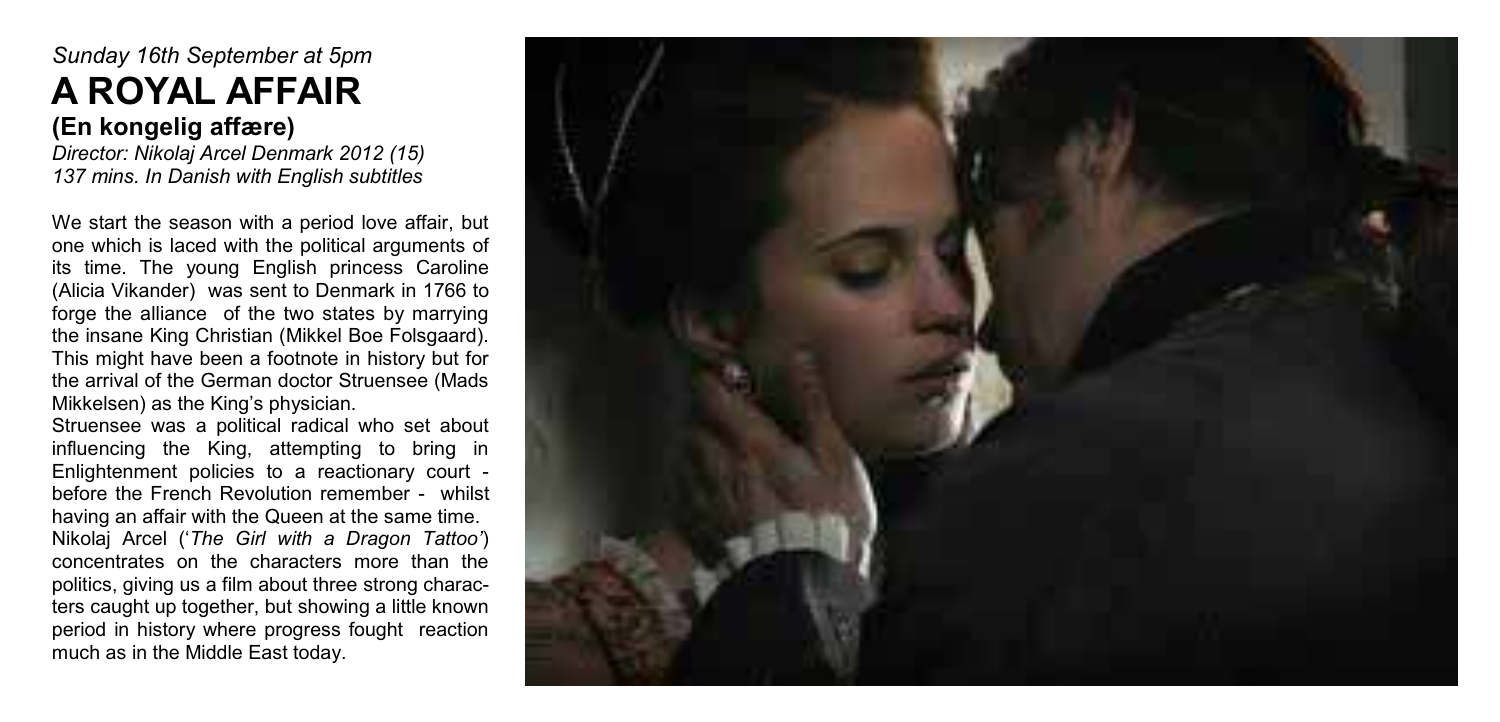# *Sunday 16th September at 5pm*  **A ROYAL AFFAIR**

**(En kongelig affære)**  *Director: Nikolaj Arcel Denmark 2012 (15) 137 mins. In Danish with English subtitles* 

We start the season with a period love affair, but one which is laced with the political arguments of its time. The young English princess Caroline (Alicia Vikander) was sent to Denmark in 1766 to forge the alliance of the two states by marrying the insane King Christian (Mikkel Boe Folsgaard). This might have been a footnote in history but for the arrival of the German doctor Struensee (Mads Mikkelsen) as the King's physician.

Struensee was a political radical who set about influencing the King, attempting to bring in Enlightenment policies to a reactionary court before the French Revolution remember - whilst having an affair with the Queen at the same time.

Nikolai Arcel *('The Girl with a Dragon Tattoo'*) concentrates on the characters more than the politics, giving us a film about three strong characters caught up together, but showing a little known period in history where progress fought reaction much as in the Middle East today.

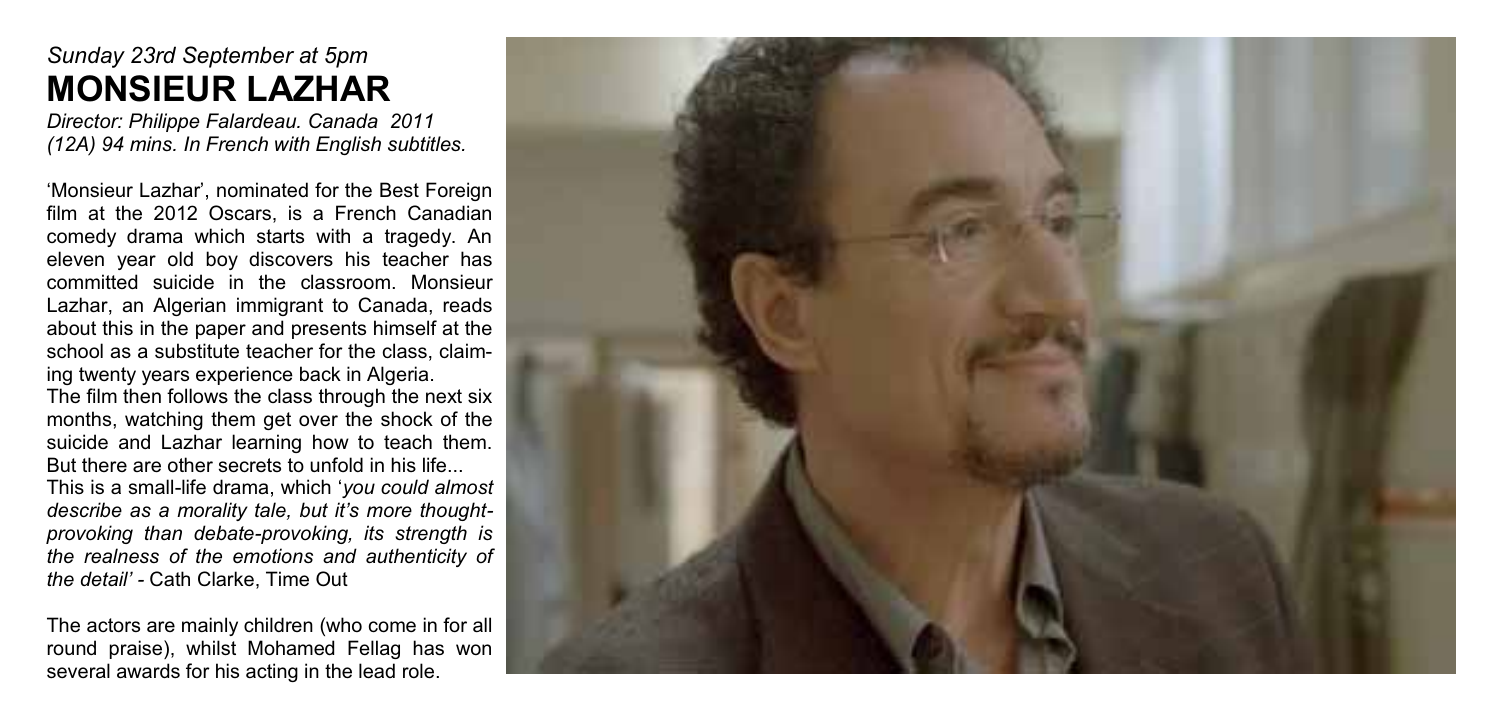#### *Sunday 23rd September at 5pm* **MONSIEUR LAZHAR**

*Director: P hilippe Falardeau. Canada 2 011 (12A) 94 mins. In Frenc h with Englis h subtitles.* 

'Monsieur Lazhar', nominated for the Best Foreign fi l m at the 20 12 Oscars, is a French Canadian comedy drama which starts with a tragedy. An eleven year old boy discovers his teacher has committed suicide in the c lassroom. Monsieur L a zhar, an A lgerian immigrant to Canada, reads about this in the paper and presents himse l f at the school as a substitute teacher for the c lass, c laim ing twenty years e xperience back in A lgeria.

The film then follows the class through the next six months, watching them get over the shock of the suicide and Lazhar learning how to teach them. But there are other secrets to unfold in his life...

This is a small-life drama, which '*you could almost describe as a morality tale, but it's more thoughtprovo king than debate-provo king, its strength is the realness of the emotions and authenticity of the detail' -* Cath Clarke, Time Out

The actors are mainly children (who come in for all round praise), whilst Mohamed Fellag has won several awards for his acting in the lead role.

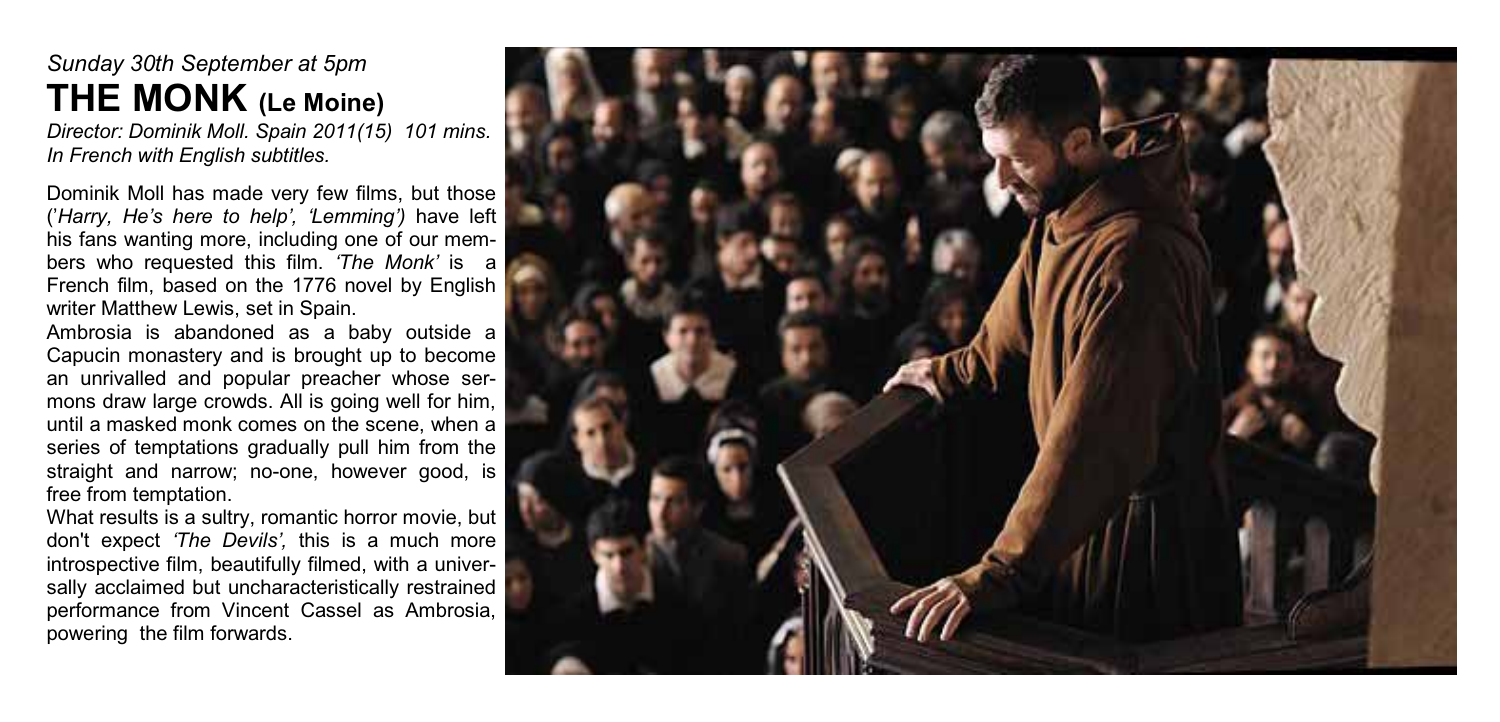#### *Sunday 30th September at 5pm*  **THE MONK (Le Moine)**

*Director: Dominik Moll. Spain 2011(15) 101 mins. In French with English subtitles.* 

Dominik Moll has made very few films, but those  $P(Harry, He's here to help, 'Lemma') have left$ his fans wanting more, including one of our members who requested this film. 'The Monk' is a French film, based on the 1776 novel by English writer Matthew Lewis, set in Spain.

Ambrosia is abandoned as a baby outside a Capucin monastery and is brought up to become an unrivalled and popular preacher whose sermons draw large crowds. All is going well for him, until a masked monk comes on the scene, when a series of temptations gradually pull him from the straight and narrow; no-one, however good, is free from temptation.

What results is a sultry, romantic horror movie, but don't expect *'The Devils'*, this is a much more introspective film, beautifully filmed, with a universally acclaimed but uncharacteristically restrained performance from Vincent Cassel as Ambrosia, powering the film forwards.

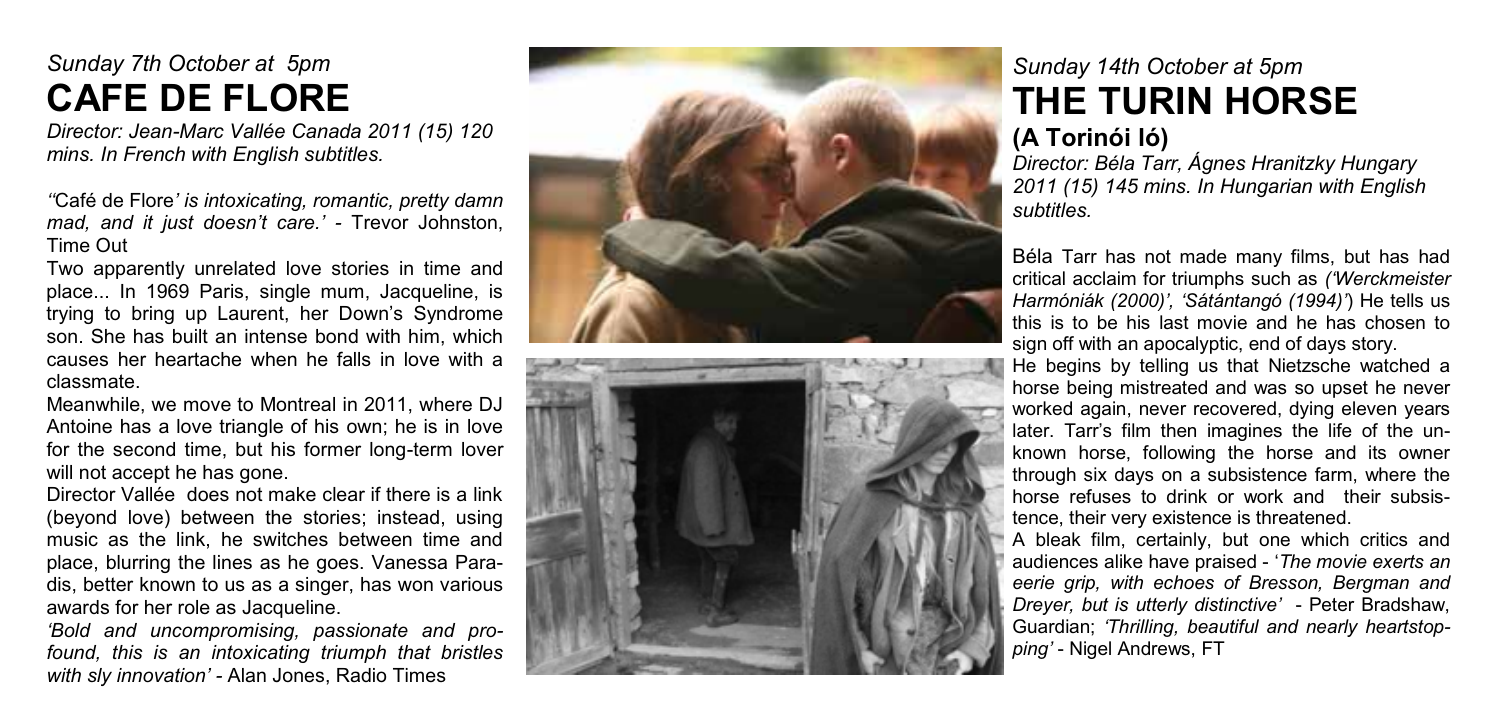# *Sunday 7th O c t ober at 5pm*  **CAFE DE FLOR**<br>Director: Jean-Marc Vallée Carl

**A E** *Dire c t or: Jean-Marc Vallée Canada 2011 ( 15) 120 mins. In Fren ch with English subtitles.* 

*"*Café de Flore' is intoxicating, romantic, pretty damn *mad, and it just doesn't care.' - Trevor Johnston,* Time Out

Two apparently unrelated love stories in time and place... In 1969 Paris, single mum, Jacqueline, is trying to bring up Laurent, her Down's Syndrome son. She has built an intense bond with him, which causes her heartache when he falls in love with a c lass mate.

Meanwhile, we move to Montreal in 2011, where DJ Antoine has a love triangle of his own; he is in love for the second time, but his former long-term lover will no t acce p t he has gon e.

Director Vallée does not make clear if there is a link (b eyond lov e) between the stories ; instead, u sing mu s i c as the lin k, he sw itches between tim e and place, blurring the lines as he goes. Vanessa Paradis, better known to us as a singer, has won various award s for her rol e as Jac q u elin e.

*'Bold and uncompromising, passionate and pro*found, this is an intoxicating triumph that bristles *with sly innovation' -* Alan Jones, Radio Times





#### *Sunday 14th O c tober at 5pm*  **TH E T URIN HORSE ( ó**

**A Torin i ló)**  *Dire c t or: Béla Tarr, Ágnes Hranitzky Hungary 2011 ( 15) 145 mins. In Hungarian with English subtitles.* 

Béla Tarr has no t m a d e m any film s, bu t has had critical acclaim for triumphs such as *('Werckmeister Harmóniák (2000)', 'Sátántangó (1994)')* He tells us this is to be his last movie and he has chosen to sign off with an apocalyptic, end of days story.

H e b egin s by telling u s that Niet zsche watched a horse b eing mist reated and was so upset he n e v er worked again, never recovered, dying eleven years later. Tarr's film then imagines the life of the unknown horse, following the horse and its owner through six days on a subsistence farm, where the horse refuses to drink or work and their subsistence, their very existence is threatened.

A bleak film, certainly, but one which critics and audiences alike have praised - 'The movie exerts an *eerie grip , with e c h oes of Bress o n , Bergman and Dreyer, but is utterly distinctive' - Peter Bradshaw,* Guardian; 'Thrilling, beautiful and nearly heartstopping' - Nigel Andrews, FT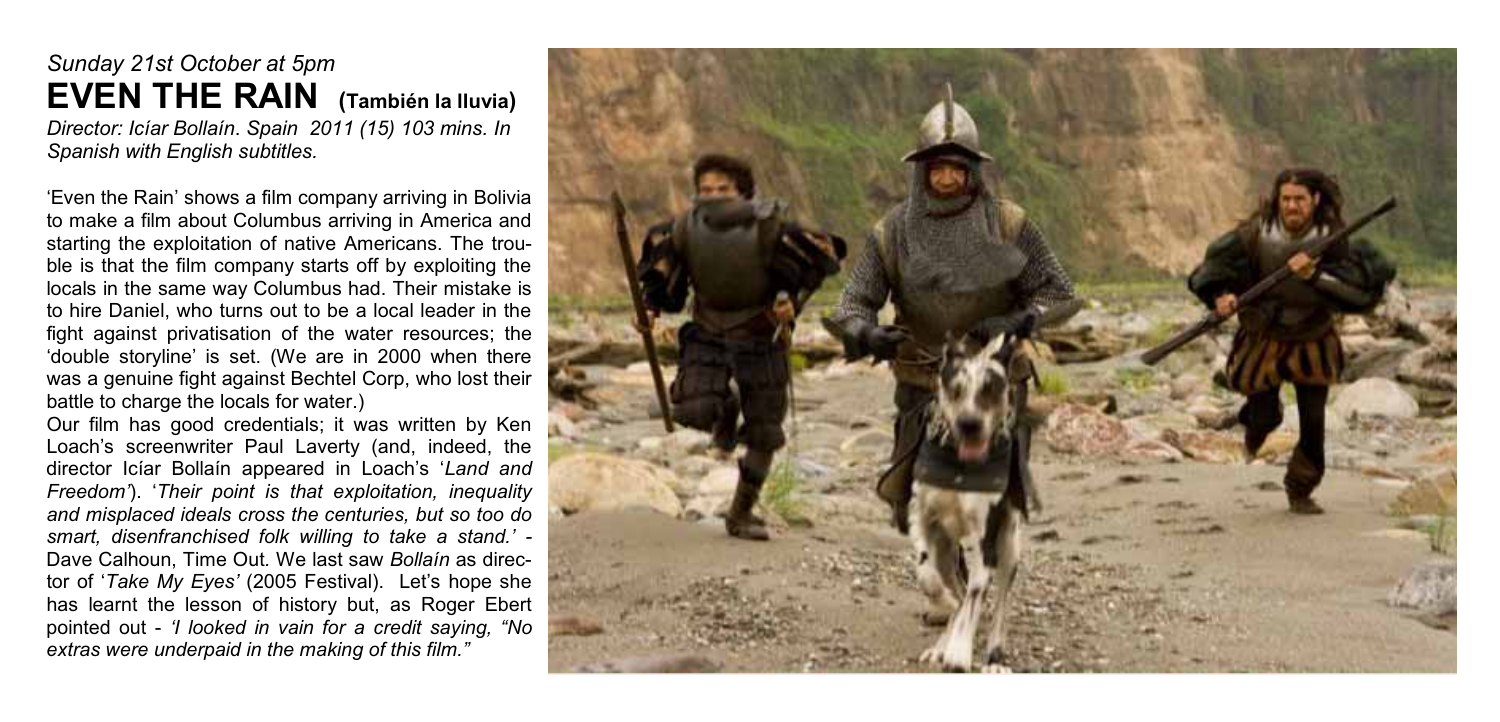#### *Sunday 21st October at 5pm*  **EVEN THE RAIN (También la lluvia)** *Director: Icíar Bollaín*. *Spain 2011 (15) 103 mins. In*

*Spanish with English subtitles.* 

'Even the Rain' shows a film company arriving in Bolivia to make a film about Columbus arriving in America and starting the exploitation of native Americans. The trouble is that the film company starts off by exploiting the locals in the same way Columbus had. Their mistake is to hire Daniel, who turns out to be a local leader in the fight against privatisation of the water resources; the 'double storyline' is set. (We are in 2000 when there was a genuine fight against Bechtel Corp, who lost their battle to charge the locals for water.)

Our film has good credentials; it was written by Ken Loach's screenwriter Paul Laverty (and, indeed, the director Icíar Bollaín appeared in Loach's 'Land and *Freedom*'). 'Their point is that exploitation, inequality *and misplaced ideals cross the centuries, but so too do ASmart, disenfranchised folk willing to take a stand.' -*Dave Calhoun, Time Out*.* We last saw *Bollaín* as director of '*Take Mv Eves'* (2005 Festival). Let's hope she has learnt the lesson of history but, as Roger Ebert *n*<sub>D</sub>,  $\theta$ <sup>*M*</sup>*H*<sub>C</sub><sub>*H*</sub><sup>*I*</sup>*Ilooked in vain for a credit saving, "No extras were underpaid in the making of this film."* 

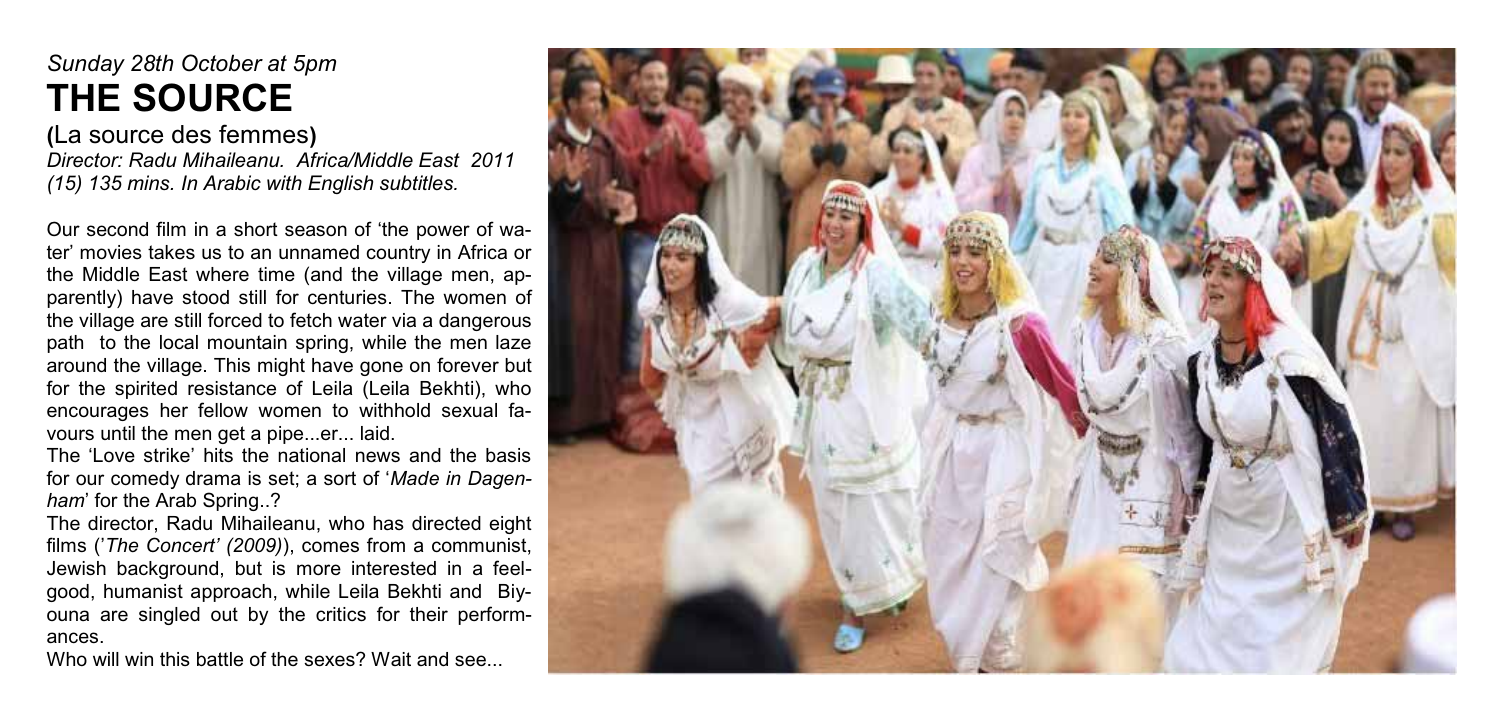### *Sunday 28th October at 5pm*  **THE SOURCE**

**(**La source des femmes**)** *Director: Radu Mihaileanu. Africa/Middle East 2011 (15) 135 mins. In Arabic with English subtitles.* 

Our second film in a short season of 'the power of water' movies takes us to an unnamed country in Africa or the Middle East where time (and the village men, apparently) have stood still for centuries. The women of the village are still forced to fetch water via a dangerous path to the local mountain spring, while the men laze around the village. This might have gone on forever but for the spirited resistance of Leila (Leila Bekhti), who encourages her fellow women to withhold sexual favours until the men get a pipe...er... laid.

The 'Love strike' hits the national news and the basis for our comedy drama is set; a sort of 'Made in Dagen*ham*' for the Arab Spring..?

The director, Radu Mihaileanu, who has directed eight films ('The Concert' (2009)), comes from a communist, Jewish background, but is more interested in a feelgood, humanist approach, while Leila Bekhti and Biyouna are singled out by the critics for their performances.

Who will win this battle of the sexes? Wait and see...

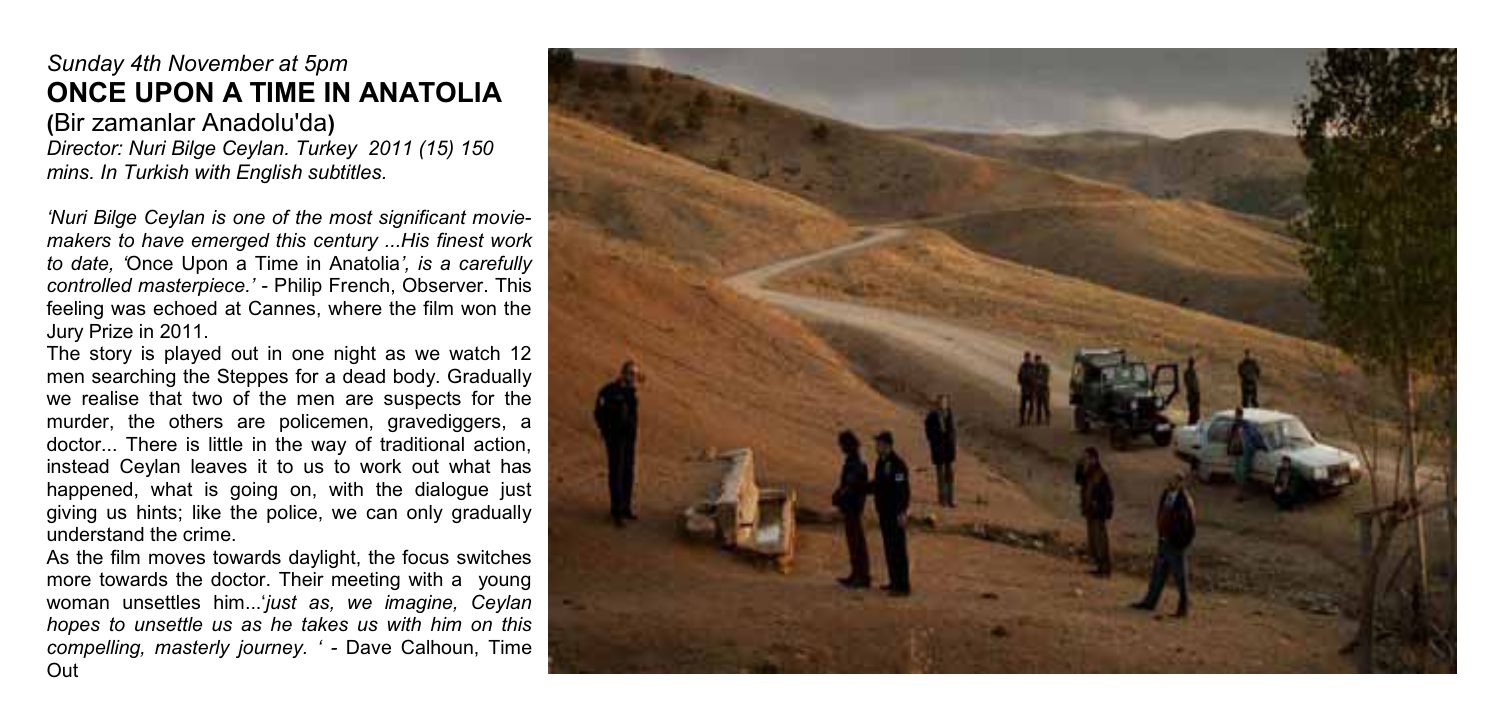#### *Sunday 4th November at 5pm*  **ONCE UPON A TIME IN ANATOLIA**

**(**Bir zamanlar Anadolu'da**)** *Director: Nuri Bilge Ceylan. Turkey 2011 (15) 150 mins. In Turkish with English subtitles.* 

*1XMuri Bilge Ceylan is one of the most significant moviemakers to have emerged this century ...His finest work zb* date. 'Once Upon a Time in Anatolia', *is a carefully CONTrolled masterpiece.' - Philip French, Observer. This* feeling was echoed at Cannes, where the film won the Jury Prize in 2011.

The story is played out in one night as we watch 12 men searching the Steppes for a dead body. Gradually we realise that two of the men are suspects for the murder, the others are policemen, gravediggers, a doctor... There is little in the way of traditional action, instead Ceylan leaves it to us to work out what has happened, what is going on, with the dialogue just giving us hints; like the police, we can only gradually understand the crime.

As the film moves towards daylight, the focus switches more towards the doctor. Their meeting with a young woman unsettles him...'just as, we imagine, Ceylan *hopes to unsettle us as he takes us with him on this FRPD<i>R<i><i>HN***</del>***<b><i><i>HD<i><i>HN<i><i>P<i>HD<i><i>M<i><i><i>H<b><i><i>H<b><i><i>H<i><i>H<i><i>H<i><i>H<i><i>H<i><i>H<i><i>H<i><i>H<i><i>H<i><i>H<b><i><i>H<b><i><i>H<b><i><i>H* Out

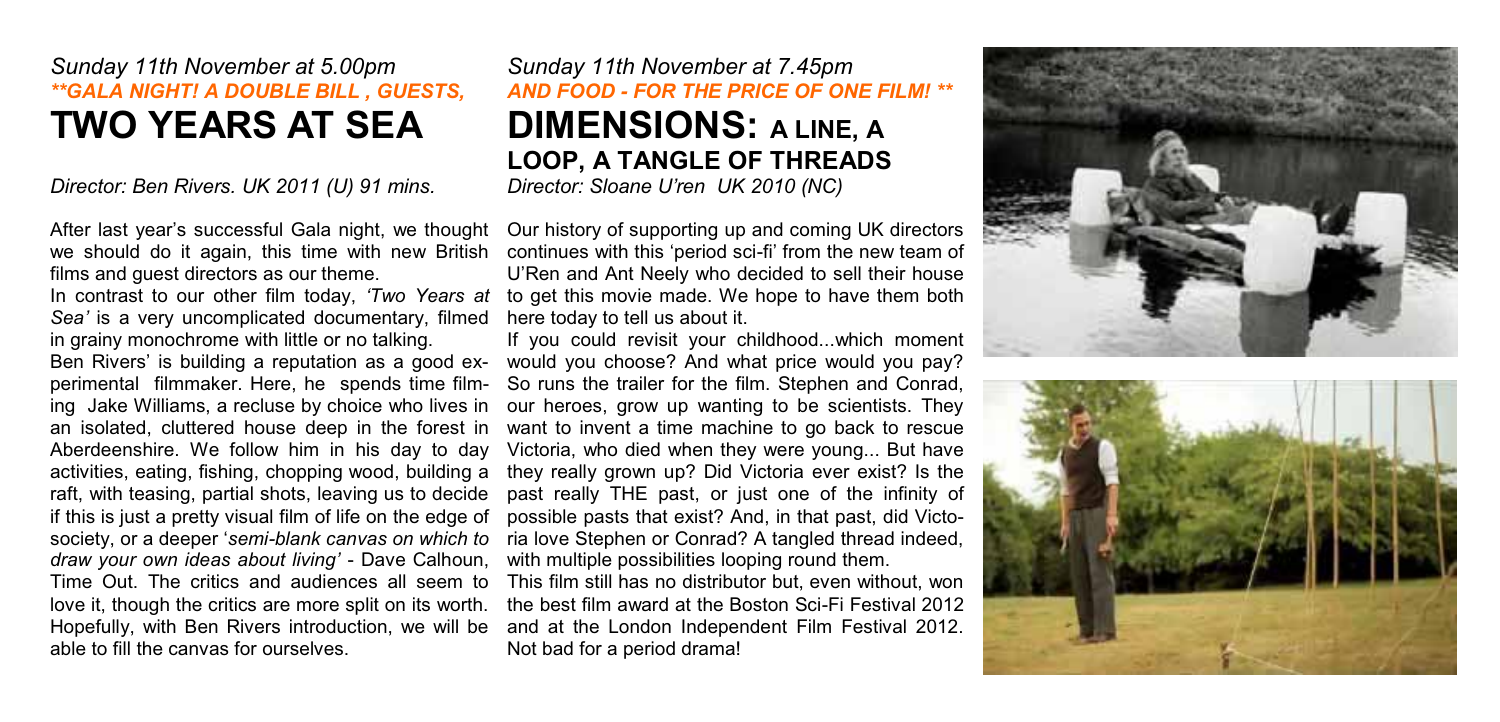#### *Sunday 11th November at 5.00pm \*\*GALA NIGHT! A DOUBLE BILL , GUESTS,*  **TWO YEARS AT SEA**

*Director: Ben Rivers. UK 2011 (U) 91 mins.* 

After last year's successful Gala night, we thought we should do it again, this time with new British films and guest directors as our theme.

In contrast to our other film today, '*Two* Years at Sea' is a very uncomplicated documentary, filmed in grainy monochrome with little or no talking.

Ben Rivers' is building a reputation as a good experimental filmmaker. Here, he spends time filming Jake Williams, a recluse by choice who lives in an isolated, cluttered house deep in the forest in Aberdeenshire. We follow him in his day to day activities, eating, fishing, chopping wood, building a raft, with teasing, partial shots, leaving us to decide if this is just a pretty visual film of life on the edge of society, or a deeper 'semi-blank canvas on which to *Graw vour own ideas about living'* - Dave Calhoun, Time Out. The critics and audiences all seem to love it, though the critics are more split on its worth. Hopefully, with Ben Rivers introduction, we will be able to fill the canvas for ourselves.

#### *Sunday 11th November at 7.45pm AND FOOD - FOR THE PRICE OF ONE FILM! \*\**  **DIMENSIONS: A LINE, A LOOP, A TANGLE OF THREADS** *Director: Sloane U'ren UK 2010 (NC)*

Our history of supporting up and coming UK directors continues with this 'period sci-fi' from the new team of U'Ren and Ant Neely who decided to sell their house to get this movie made. We hope to have them both here today to tell us about it.

If you could revisit your childhood...which moment would you choose? And what price would you pay? So runs the trailer for the film. Stephen and Conrad, our heroes, grow up wanting to be scientists. They want to invent a time machine to go back to rescue Victoria, who died when they were young... But have they really grown up? Did Victoria ever exist? Is the past really THE past, or just one of the infinity of possible pasts that exist? And, in that past, did Victoria love Stephen or Conrad? A tangled thread indeed, with multiple possibilities looping round them.

This film still has no distributor but, even without, won the best film award at the Boston Sci-Fi Festival 2012 and at the London Independent Film Festival 2012. Not bad for a period drama!



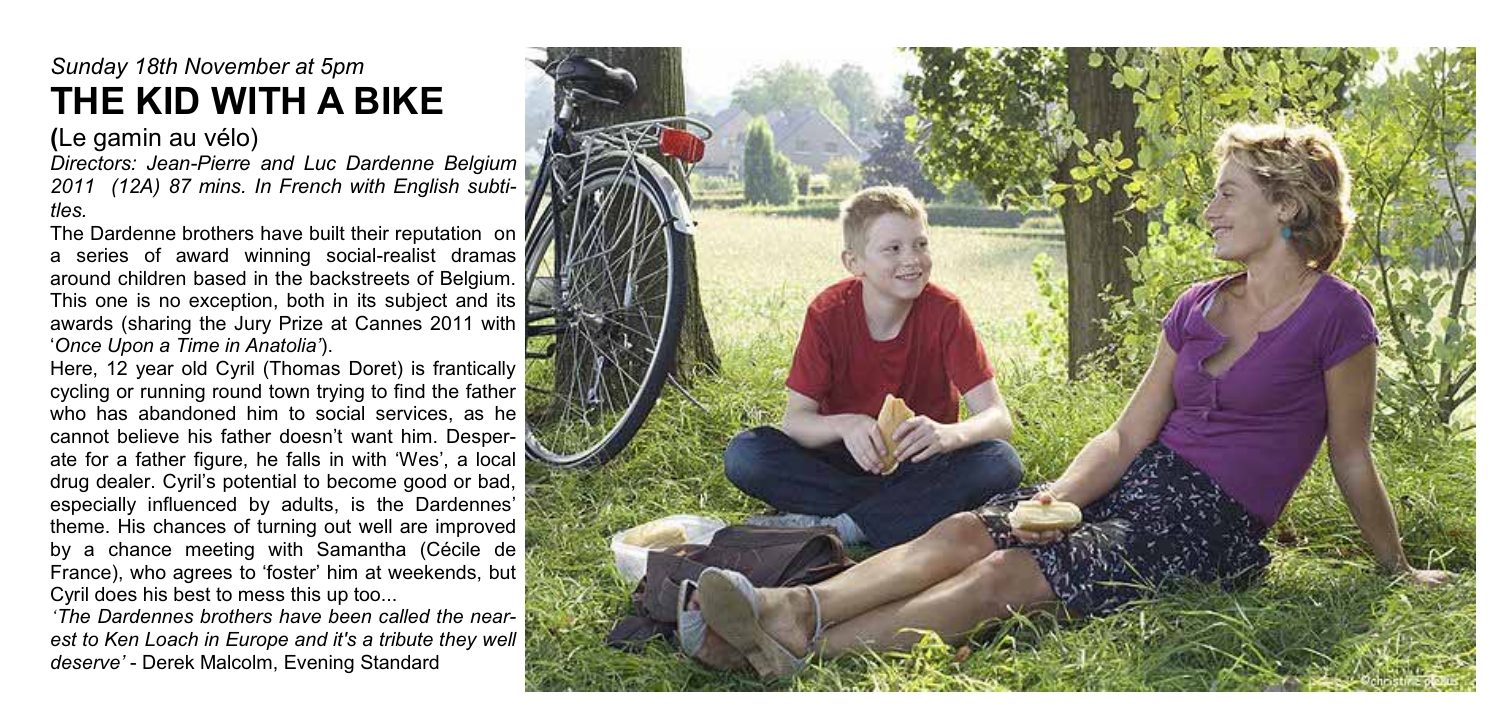## *Sunday 18th November at 5pm*  **THE KID WITH A BIKE**

**(**Le gamin au vélo)

*Directors: Jean-Pierre and Luc Dardenne Belgium 2011 (12A) 87 mins. In French with English subtitles.* 

The Dardenne brothers have built their reputation on a series of award winning social-realist dramas around children based in the backstreets of Belgium. This one is no exception, both in its subject and its awards (sharing the Jury Prize at Cannes 2011 with *<sup>2</sup>PAnce Upon a Time in Anatolia*<sup>7</sup>).

Here, 12 year old Cyril (Thomas Doret) is frantically cycling or running round town trying to find the father who has abandoned him to social services, as he cannot believe his father doesn't want him. Desperate for a father figure, he falls in with 'Wes', a local drug dealer. Cyril's potential to become good or bad. especially influenced by adults, is the Dardennes' theme. His chances of turning out well are improved by a chance meeting with Samantha (Cécile de France), who agrees to 'foster' him at weekends, but Cyril does his best to mess this up too...

*The Dardennes brothers have been called the nearest to Ken Loach in Europe and it's a tribute they well*   $H$ *Aeserve'* - Derek Malcolm, Evening Standard

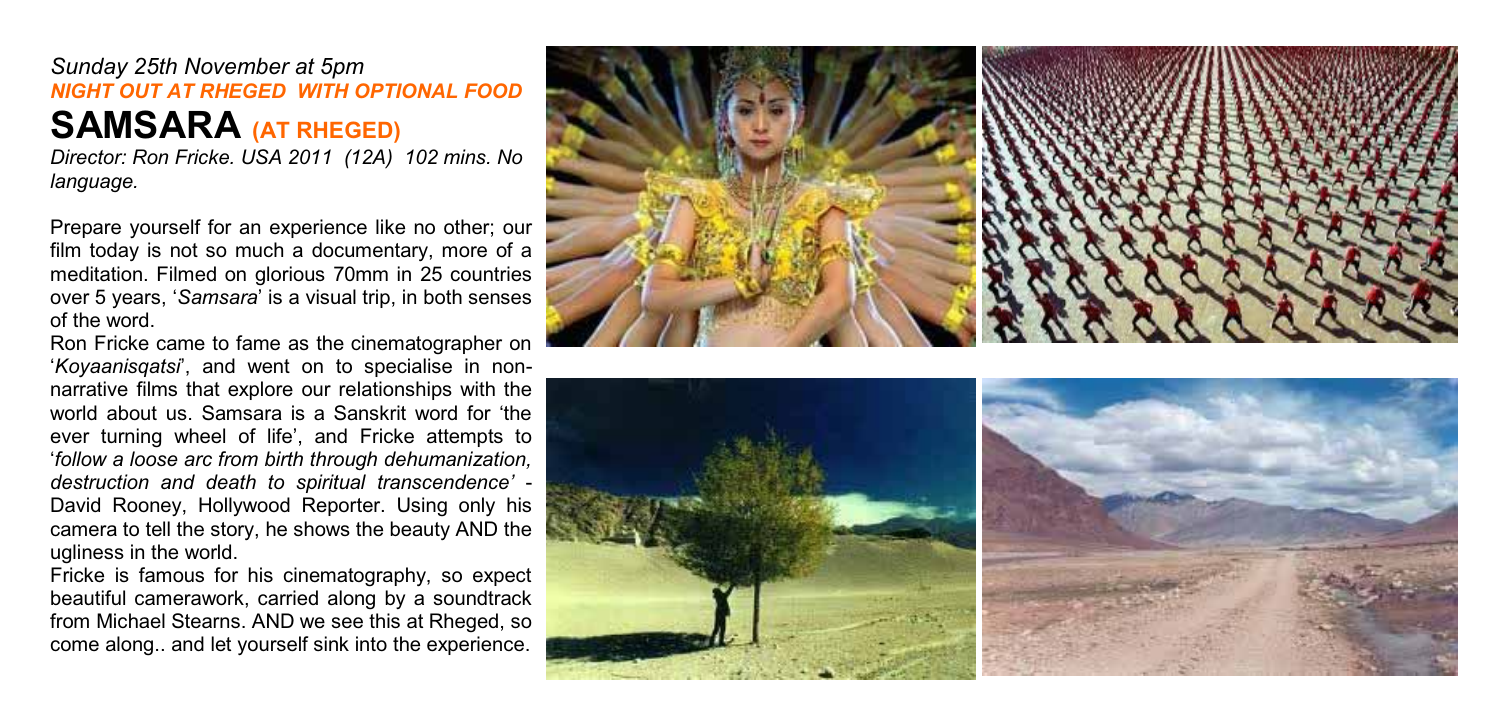#### *Sunday 25th November at 5pm NIGHT OUT AT RHEGED WITH OPTIONAL FOOD*  **SAMSARA (AT RHEGED)**

*Director: Ron Fricke. USA 2011 (12A) 102 mins. No language.* 

Prepare yourself for an experience like no other; our film today is not so much a documentary, more of a meditation. Filmed on glorious 70mm in 25 countries over 5 years, 'Samsara<sup>7</sup> is a visual trip, in both senses of the word.

Ron Fricke came to fame as the cinematographer on 'Koyaanisgatsi', and went on to specialise in nonnarrative films that explore our relationships with the world about us. Samsara is a Sanskrit word for 'the ever turning wheel of life', and Fricke attempts to µ*follow a loose arc from birth through dehumanization,* destruction and death to spiritual transcendence' -David Rooney, Hollywood Reporter. Using only his camera to tell the story, he shows the beauty AND the ugliness in the world.

Fricke is famous for his cinematography, so expect beautiful camerawork, carried along by a soundtrack from Michael Stearns. AND we see this at Rheged, so come along.. and let yourself sink into the experience.



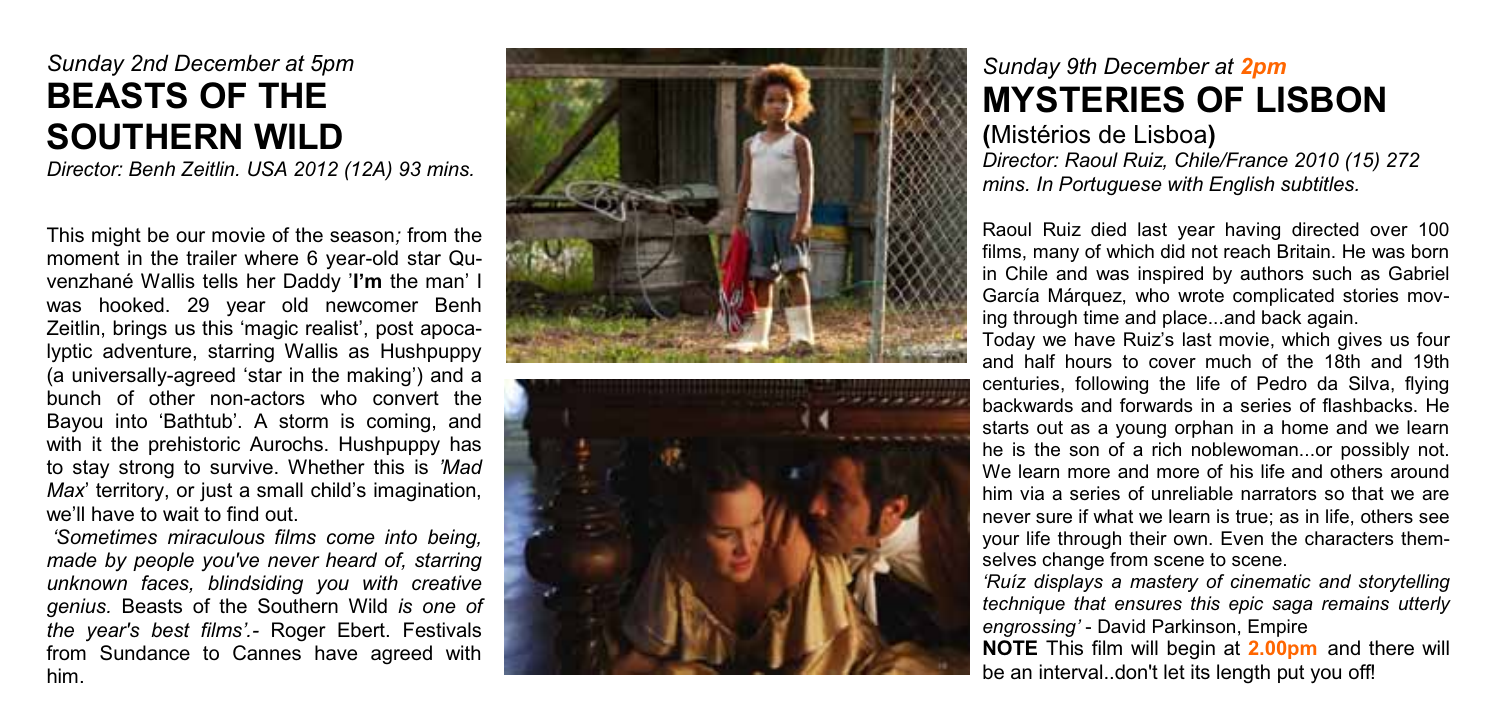## *Sunday 2nd D e cember at 5pm*  **BEASTS OF THE<br>SOUTHERN WILD**<br>Director: Benh Zeitlin. USA 2012 STS OF TH

**O T E W L D** *Dire ctor: Ben h Zeitlin. USA 2 012 (12A) 93 mins.* 

T h i s m ight b e our mov i e of the se ason*;* from the moment in the trailer where 6 year-old star Quvenzhané Wallis tells her Daddy '**I'm** the man' I was hooked. 29 year old newcomer Benh Zeitlin, brings us this 'magic realist', post apocalyptic adventure, starring Wallis as Hushpuppy (a universally-agreed 'star in the making') and a bunch of other non-actors who convert the Bayou into 'Bathtub'. A storm is coming, and with it the prehistoric Aurochs. Hushpuppy has to stay strong to survive. Whether this is 'Mad *Max*' territory, or just a small child's imagination, we'll have to wait to find out.

'Sometimes miraculous films come into being, *made by people you 've ne ver heard of, starring unknown faces, blindsiding you with creative* genius. Beasts of the Southern Wild *is one of the year's best films'.*- Roger Ebert. Festivals from Sundance to Cannes have agreed with h i m.





# *Sunday 9th D e cember at 2pm* **MYSTERIES OF LISBON**<br>(Mistérios de Lisboa)

(Mistérios de Lisboa) *Dire ctor: Raoul Ruiz, C hile/Fran ce 2 0 10 ( 15) 2 7 2 mins. In Portuguese with Englis h subtitles.* 

Raoul Ruiz died last year having directed over 100 films, many of which did not reach Britain. He was born in Chile and was inspired by authors such as Gabriel García Márquez, who wrote complicated stories moving through time and place...and back again.

Today we have Ruiz's last movie, which gives us four and half hours to cover much of the 18th and 19th centuries, following the life of Pedro da Silva, flying backwards and forwards in a series of flashbacks. He starts out as a young orphan in a home and we learn he is the son of a rich noblewoman...or possibly not. We learn more and more of his life and others around him via a series of unreliable narrators so that we are never sure if what we learn is true; as in life, others see your life through their own. Even the characters themse lves ch ange from scene to scene .

'Ruíz displays a mastery of cinematic and storytelling *techni que that ensures this epi c saga remains utterly*  engrossing' - David Parkinson, Empire

**NOTE** This film will begin at **2.00pm** and there will be an interval don't let its length put you offl be an interval..don't let its length put you off!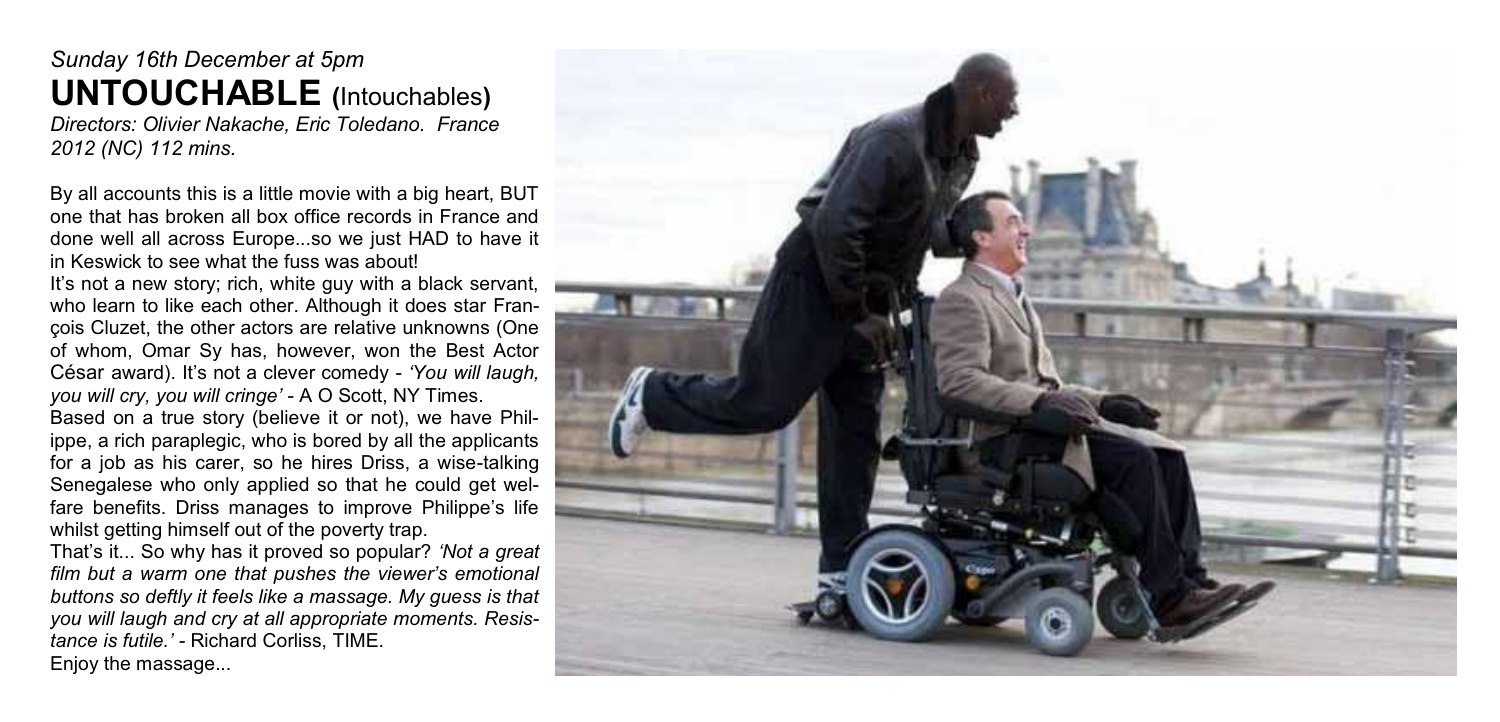### *Sunday 16th December at 5pm*  **UNTOUCHABLE (**Intouchables**)**

*Directors: Olivier Nakache, Eric Toledano. France 2012 (NC) 112 mins.* 

By all accounts this is a little movie with a big heart, BUT one that has broken all box office records in France and done well all across Europe...so we just HAD to have it in Keswick to see what the fuss was about!

It's not a new story; rich, white guy with a black servant, who learn to like each other. Although it does star François Cluzet, the other actors are relative unknowns (One of whom, Omar Sy has, however, won the Best Actor César award). It's not a clever comedy - *'You will laugh. \RX ZLOOFU\ \RX ZLOOFULQJH¶* - A O Scott, NY Times.

Based on a true story (believe it or not), we have Philippe, a rich paraplegic, who is bored by all the applicants for a job as his carer, so he hires Driss, a wise-talking Senegalese who only applied so that he could get welfare benefits. Driss manages to improve Philippe's life whilst getting himself out of the poverty trap.

That's it... So why has it proved so popular? 'Not a great *<i>IIM*</del> *Dut* a *warm* one that pushes the viewer's emotional *buttons so deftly it feels like a massage. My guess is that you will laugh and cry at all appropriate moments. Resistance is futile.'* - Richard Corliss, TIME. Enjoy the massage...

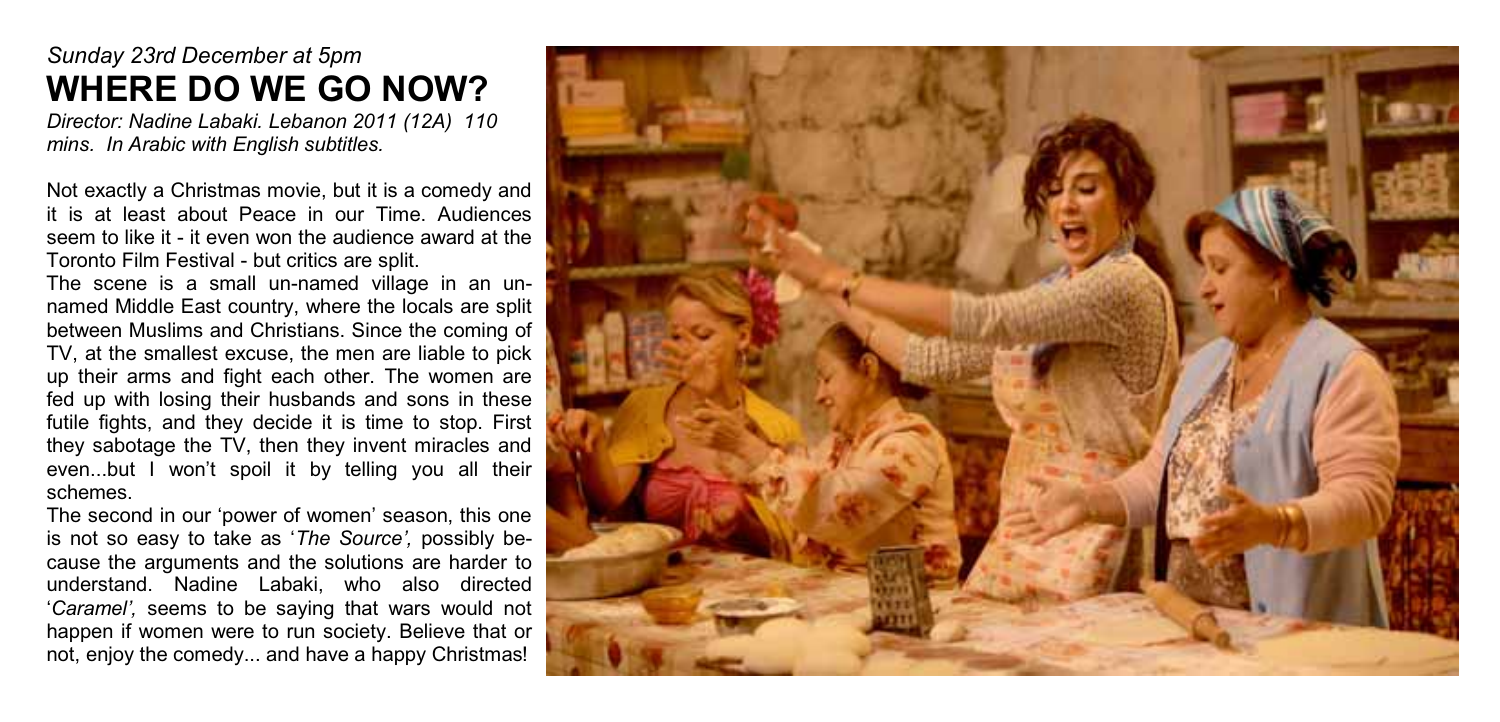#### *Sunday 23rd December at 5pm*  **WHERE DO WE GO NOW?**

*Director: Nadine Labaki. Lebanon 2011 (12A) 110 mins. In Arabic with English subtitles.* 

Not exactly a Christmas movie, but it is a comedy and it is at least about Peace in our Time. Audiences seem to like it - it even won the audience award at the Toronto Film Festival - but critics are split.

The scene is a small un-named village in an unnamed Middle East country, where the locals are split between Muslims and Christians. Since the coming of TV, at the smallest excuse, the men are liable to pick up their arms and fight each other. The women are fed up with losing their husbands and sons in these futile fights, and they decide it is time to stop. First they sabotage the TV, then they invent miracles and even...but I won't spoil it by telling you all their schemes.

The second in our 'power of women' season, this one Is not so easy to take as 'The Source', possibly because the arguments and the solutions are harder to understand. Nadine Labaki, who also directed *'Caramel'*, seems to be saying that wars would not happen if women were to run society. Believe that or not, enjoy the comedy... and have a happy Christmas!